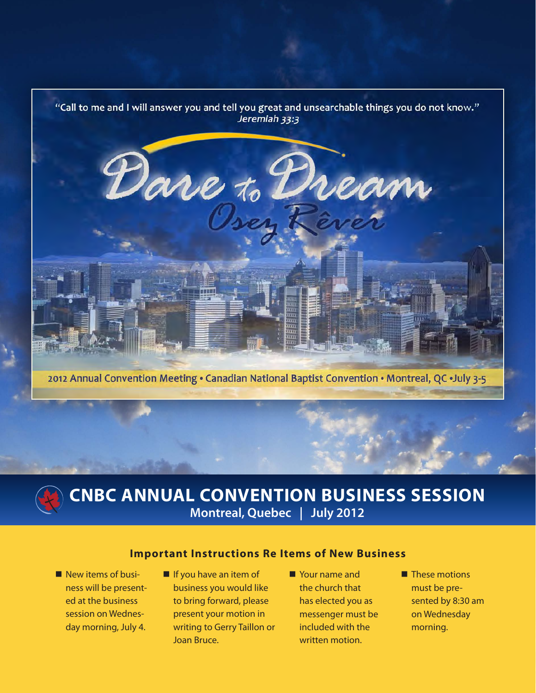

2012 Annual Convention Meeting . Canadian National Baptist Convention . Montreal, QC .July 3-5



# **CNBC ANNUAL CONVENTION BUSINESS SESSION Montreal, Quebec | July 2012**

### **Important Instructions Re Items of New Business**

- New items of business will be presented at the business session on Wednesday morning, July 4.
- If you have an item of business you would like to bring forward, please present your motion in writing to Gerry Taillon or Joan Bruce.
- Your name and the church that has elected you as messenger must be included with the written motion.
- **These motions** must be presented by 8:30 am on Wednesday morning.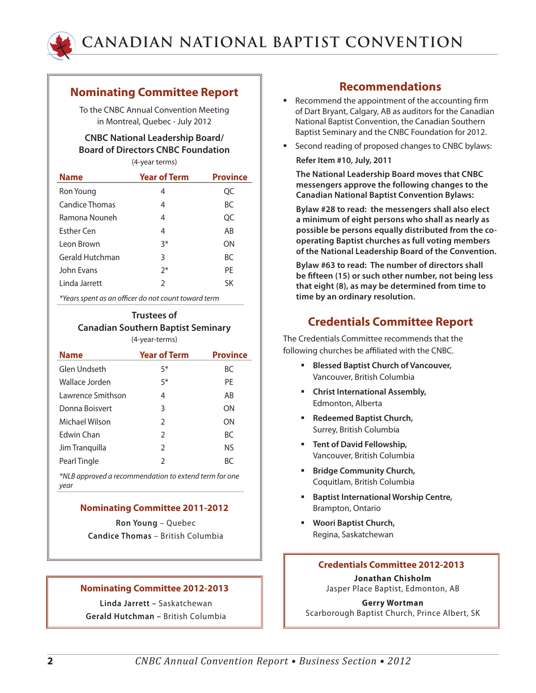

### **Nominating Committee Report**

To the CNBC Annual Convention Meeting in Montreal, Quebec - July 2012

### **CNBC National Leadership Board/ Board of Directors CNBC Foundation**

(4-year terms)

| <b>Name</b>       | <b>Year of Term</b> | <b>Province</b> |
|-------------------|---------------------|-----------------|
| Ron Young         | 4                   | QC              |
| Candice Thomas    | 4                   | <b>BC</b>       |
| Ramona Nouneh     | 4                   | QC              |
| <b>Esther Cen</b> | 4                   | AB              |
| Leon Brown        | $3*$                | ΩN              |
| Gerald Hutchman   | 3                   | <b>BC</b>       |
| John Evans        | $2^*$               | PF              |
| Linda Jarrett     | C                   | SK              |
|                   |                     |                 |

*\*Years spent as an officer do not count toward term*

#### **Trustees of Canadian Southern Baptist Seminary** (4-year-terms)

| <b>Name</b>       | <b>Year of Term</b> | <b>Province</b> |
|-------------------|---------------------|-----------------|
| Glen Undseth      | $5*$                | BC              |
| Wallace Jorden    | $5*$                | PF              |
| Lawrence Smithson | 4                   | AB              |
| Donna Boisvert    | 3                   | ΩN              |
| Michael Wilson    | $\mathcal{P}$       | ΩN              |
| Fdwin Chan        | $\mathcal{P}$       | BC.             |
| Jim Tranquilla    | $\mathcal{P}$       | NS.             |
| Pearl Tingle      | $\mathfrak z$       | RC              |
|                   |                     |                 |

*\*NLB approved a recommendation to extend term for one year*

#### **Nominating Committee 2011-2012**

**Ron Young** – Quebec **Candice Thomas** – British Columbia

#### **Nominating Committee 2012-2013**

**Linda Jarrett –** Saskatchewan **Gerald Hutchman –** British Columbia

### **Recommendations**

- Recommend the appointment of the accounting firm of Dart Bryant, Calgary, AB as auditors for the Canadian National Baptist Convention, the Canadian Southern Baptist Seminary and the CNBC Foundation for 2012.
- Second reading of proposed changes to CNBC bylaws: **Refer Item #10, July, 2011**

**The National Leadership Board moves that CNBC messengers approve the following changes to the Canadian National Baptist Convention Bylaws:**

**Bylaw #28 to read: the messengers shall also elect a minimum of eight persons who shall as nearly as possible be persons equally distributed from the cooperating Baptist churches as full voting members of the National Leadership Board of the Convention.**

**Bylaw #63 to read: The number of directors shall be fifteen (15) or such other number, not being less that eight (8), as may be determined from time to time by an ordinary resolution.**

## **Credentials Committee Report**

The Credentials Committee recommends that the following churches be affiliated with the CNBC.

- **Blessed Baptist Church of Vancouver,** Vancouver, British Columbia
- **Christ International Assembly,** Edmonton, Alberta
- **Redeemed Baptist Church,** Surrey, British Columbia
- **Tent of David Fellowship,** Vancouver, British Columbia
- **Bridge Community Church,** Coquitlam, British Columbia
- **Baptist International Worship Centre,** Brampton, Ontario
- **Woori Baptist Church,** Regina, Saskatchewan

#### **Credentials Committee 2012-2013**

**Jonathan Chisholm** Jasper Place Baptist, Edmonton, AB

**Gerry Wortman** Scarborough Baptist Church, Prince Albert, SK

**2** *CNBC Annual Convention Report • Business Section • 2012*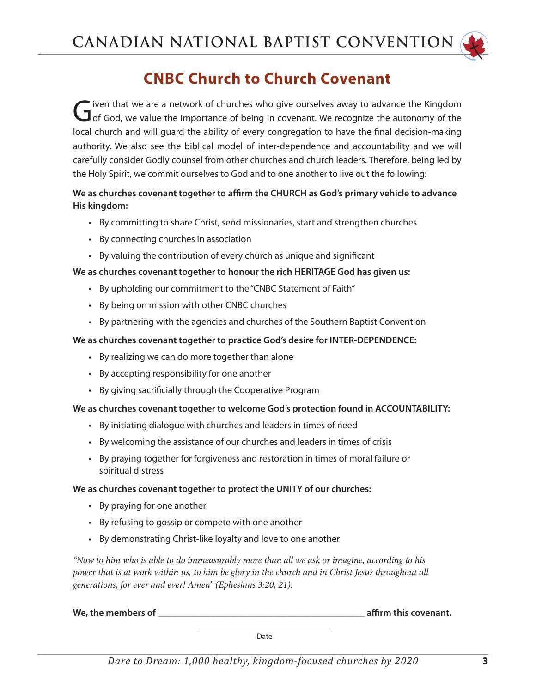

# **CNBC Church to Church Covenant**

Given that we are a network of churches who give ourselves away to advance the Kingdom<br>
God, we value the importance of being in covenant. We recognize the autonomy of the local church and will guard the ability of every congregation to have the final decision-making authority. We also see the biblical model of inter-dependence and accountability and we will carefully consider Godly counsel from other churches and church leaders. Therefore, being led by the Holy Spirit, we commit ourselves to God and to one another to live out the following:

### **We as churches covenant together to affirm the CHURCH as God's primary vehicle to advance His kingdom:**

- • By committing to share Christ, send missionaries, start and strengthen churches
- • By connecting churches in association
- • By valuing the contribution of every church as unique and significant

### **We as churches covenant together to honour the rich HERITAGE God has given us:**

- • By upholding our commitment to the "CNBC Statement of Faith"
- • By being on mission with other CNBC churches
- By partnering with the agencies and churches of the Southern Baptist Convention

#### **We as churches covenant together to practice God's desire for INTER-DEPENDENCE:**

- • By realizing we can do more together than alone
- • By accepting responsibility for one another
- By giving sacrificially through the Cooperative Program

#### **We as churches covenant together to welcome God's protection found in ACCOUNTABILITY:**

- By initiating dialogue with churches and leaders in times of need
- • By welcoming the assistance of our churches and leaders in times of crisis
- • By praying together for forgiveness and restoration in times of moral failure or spiritual distress

#### **We as churches covenant together to protect the UNITY of our churches:**

- • By praying for one another
- • By refusing to gossip or compete with one another
- By demonstrating Christ-like loyalty and love to one another

*"Now to him who is able to do immeasurably more than all we ask or imagine, according to his power that is at work within us, to him be glory in the church and in Christ Jesus throughout all generations, for ever and ever! Amen" (Ephesians 3:20, 21).*

We, the members of **the members of the matter of the members of the set of the members of the members of the members of the members of the members of the members of the members of the members of the members of the members** 

**Date**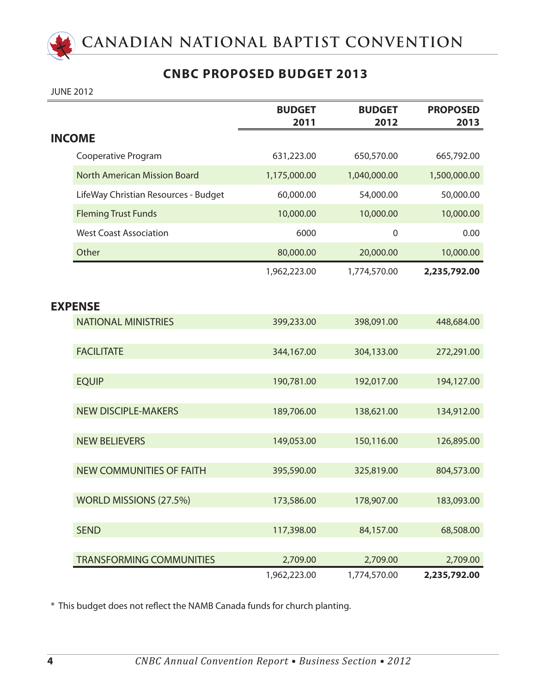

## **CNBC PROPOSED BUDGET 2013**

JUNE 2012

|                                      | <b>BUDGET</b><br>2011 | <b>BUDGET</b><br>2012 | <b>PROPOSED</b><br>2013 |
|--------------------------------------|-----------------------|-----------------------|-------------------------|
| <b>INCOME</b>                        |                       |                       |                         |
| Cooperative Program                  | 631,223.00            | 650,570.00            | 665,792.00              |
| <b>North American Mission Board</b>  | 1,175,000.00          | 1,040,000.00          | 1,500,000.00            |
| LifeWay Christian Resources - Budget | 60,000.00             | 54,000.00             | 50,000.00               |
| <b>Fleming Trust Funds</b>           | 10,000.00             | 10,000.00             | 10,000.00               |
| <b>West Coast Association</b>        | 6000                  | $\mathbf 0$           | 0.00                    |
| Other                                | 80,000.00             | 20,000.00             | 10,000.00               |
|                                      | 1,962,223.00          | 1,774,570.00          | 2,235,792.00            |
|                                      |                       |                       |                         |
| <b>EXPENSE</b>                       |                       |                       |                         |
| <b>NATIONAL MINISTRIES</b>           | 399,233.00            | 398,091.00            | 448,684.00              |
| <b>FACILITATE</b>                    | 344,167.00            | 304,133.00            | 272,291.00              |
|                                      |                       |                       |                         |
| <b>EQUIP</b>                         | 190,781.00            | 192,017.00            | 194,127.00              |
|                                      |                       |                       |                         |
| <b>NEW DISCIPLE-MAKERS</b>           | 189,706.00            | 138,621.00            | 134,912.00              |
| <b>NEW BELIEVERS</b>                 | 149,053.00            | 150,116.00            | 126,895.00              |
|                                      |                       |                       |                         |
| <b>NEW COMMUNITIES OF FAITH</b>      | 395,590.00            | 325,819.00            | 804,573.00              |
| WORLD MISSIONS (27.5%)               | 173,586.00            | 178,907.00            | 183,093.00              |
|                                      |                       |                       |                         |
| <b>SEND</b>                          | 117,398.00            | 84,157.00             | 68,508.00               |
|                                      |                       |                       |                         |
| <b>TRANSFORMING COMMUNITIES</b>      | 2,709.00              | 2,709.00              | 2,709.00                |
|                                      | 1,962,223.00          | 1,774,570.00          | 2,235,792.00            |

\* This budget does not reflect the NAMB Canada funds for church planting.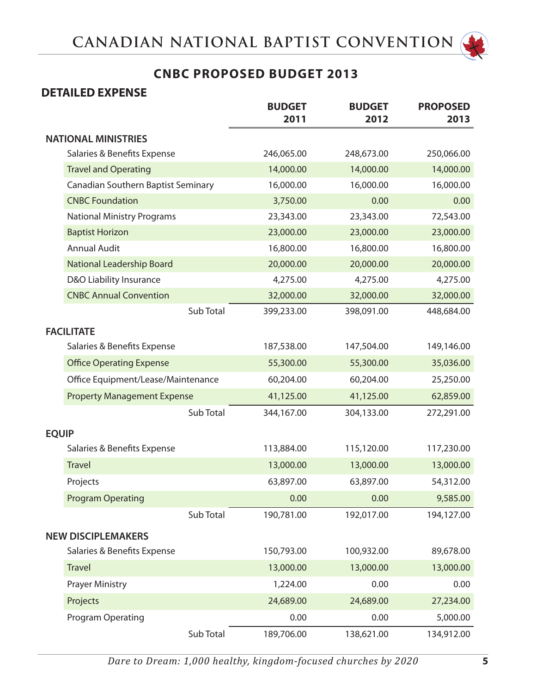

# **CNBC PROPOSED BUDGET 2013**

## **DETAILED EXPENSE**

|              |                                    |           | <b>BUDGET</b><br>2011 | <b>BUDGET</b><br>2012 | <b>PROPOSED</b><br>2013 |
|--------------|------------------------------------|-----------|-----------------------|-----------------------|-------------------------|
|              | <b>NATIONAL MINISTRIES</b>         |           |                       |                       |                         |
|              | Salaries & Benefits Expense        |           | 246,065.00            | 248,673.00            | 250,066.00              |
|              | <b>Travel and Operating</b>        |           | 14,000.00             | 14,000.00             | 14,000.00               |
|              | Canadian Southern Baptist Seminary |           | 16,000.00             | 16,000.00             | 16,000.00               |
|              | <b>CNBC Foundation</b>             |           | 3,750.00              | 0.00                  | 0.00                    |
|              | <b>National Ministry Programs</b>  |           | 23,343.00             | 23,343.00             | 72,543.00               |
|              | <b>Baptist Horizon</b>             |           | 23,000.00             | 23,000.00             | 23,000.00               |
|              | <b>Annual Audit</b>                |           | 16,800.00             | 16,800.00             | 16,800.00               |
|              | National Leadership Board          |           | 20,000.00             | 20,000.00             | 20,000.00               |
|              | D&O Liability Insurance            |           | 4,275.00              | 4,275.00              | 4,275.00                |
|              | <b>CNBC Annual Convention</b>      |           | 32,000.00             | 32,000.00             | 32,000.00               |
|              |                                    | Sub Total | 399,233.00            | 398,091.00            | 448,684.00              |
|              | <b>FACILITATE</b>                  |           |                       |                       |                         |
|              | Salaries & Benefits Expense        |           | 187,538.00            | 147,504.00            | 149,146.00              |
|              | <b>Office Operating Expense</b>    |           | 55,300.00             | 55,300.00             | 35,036.00               |
|              | Office Equipment/Lease/Maintenance |           | 60,204.00             | 60,204.00             | 25,250.00               |
|              | <b>Property Management Expense</b> |           | 41,125.00             | 41,125.00             | 62,859.00               |
|              |                                    | Sub Total | 344,167.00            | 304,133.00            | 272,291.00              |
| <b>EQUIP</b> |                                    |           |                       |                       |                         |
|              | Salaries & Benefits Expense        |           | 113,884.00            | 115,120.00            | 117,230.00              |
|              | <b>Travel</b>                      |           | 13,000.00             | 13,000.00             | 13,000.00               |
|              | Projects                           |           | 63,897.00             | 63,897.00             | 54,312.00               |
|              | <b>Program Operating</b>           |           | 0.00                  | 0.00                  | 9,585.00                |
|              |                                    | Sub Total | 190,781.00            | 192,017.00            | 194,127.00              |
|              | <b>NEW DISCIPLEMAKERS</b>          |           |                       |                       |                         |
|              | Salaries & Benefits Expense        |           | 150,793.00            | 100,932.00            | 89,678.00               |
|              |                                    |           |                       |                       |                         |
|              | <b>Travel</b>                      |           | 13,000.00             | 13,000.00             | 13,000.00               |
|              | <b>Prayer Ministry</b>             |           | 1,224.00              | 0.00                  | 0.00                    |
|              | Projects                           |           | 24,689.00             | 24,689.00             | 27,234.00               |
|              | <b>Program Operating</b>           |           | 0.00                  | 0.00                  | 5,000.00                |
|              |                                    | Sub Total | 189,706.00            | 138,621.00            | 134,912.00              |

*Dare to Dream: 1,000 healthy, kingdom-focused churches by 2020* **5**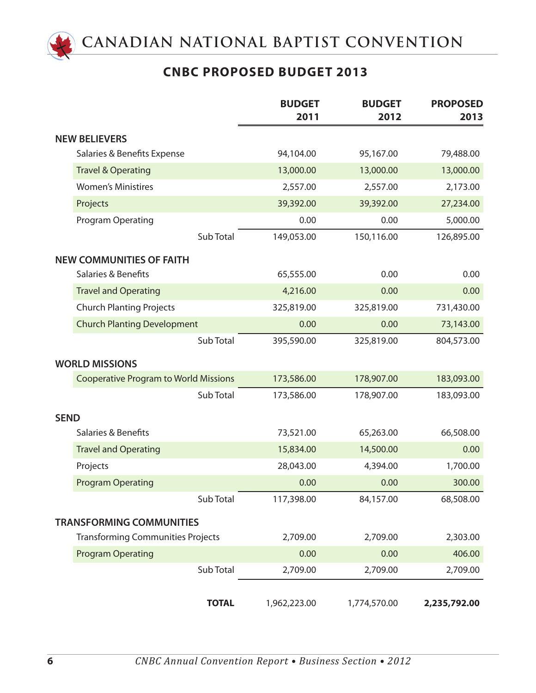

# **CNBC PROPOSED BUDGET 2013**

|             |                                              |              | <b>BUDGET</b><br>2011 | <b>BUDGET</b><br>2012 | <b>PROPOSED</b><br>2013 |
|-------------|----------------------------------------------|--------------|-----------------------|-----------------------|-------------------------|
|             | <b>NEW BELIEVERS</b>                         |              |                       |                       |                         |
|             | Salaries & Benefits Expense                  |              | 94,104.00             | 95,167.00             | 79,488.00               |
|             | <b>Travel &amp; Operating</b>                |              | 13,000.00             | 13,000.00             | 13,000.00               |
|             | <b>Women's Ministires</b>                    |              | 2,557.00              | 2,557.00              | 2,173.00                |
|             | Projects                                     |              | 39,392.00             | 39,392.00             | 27,234.00               |
|             | Program Operating                            |              | 0.00                  | 0.00                  | 5,000.00                |
|             |                                              | Sub Total    | 149,053.00            | 150,116.00            | 126,895.00              |
|             | <b>NEW COMMUNITIES OF FAITH</b>              |              |                       |                       |                         |
|             | Salaries & Benefits                          |              | 65,555.00             | 0.00                  | 0.00                    |
|             | <b>Travel and Operating</b>                  |              | 4,216.00              | 0.00                  | 0.00                    |
|             | <b>Church Planting Projects</b>              |              | 325,819.00            | 325,819.00            | 731,430.00              |
|             | <b>Church Planting Development</b>           |              | 0.00                  | 0.00                  | 73,143.00               |
|             |                                              | Sub Total    | 395,590.00            | 325,819.00            | 804,573.00              |
|             | <b>WORLD MISSIONS</b>                        |              |                       |                       |                         |
|             | <b>Cooperative Program to World Missions</b> |              | 173,586.00            | 178,907.00            | 183,093.00              |
|             |                                              | Sub Total    | 173,586.00            | 178,907.00            | 183,093.00              |
| <b>SEND</b> |                                              |              |                       |                       |                         |
|             | Salaries & Benefits                          |              | 73,521.00             | 65,263.00             | 66,508.00               |
|             | <b>Travel and Operating</b>                  |              | 15,834.00             | 14,500.00             | 0.00                    |
|             | Projects                                     |              | 28,043.00             | 4,394.00              | 1,700.00                |
|             | <b>Program Operating</b>                     |              | 0.00                  | 0.00                  | 300.00                  |
|             |                                              | Sub Total    | 117,398.00            | 84,157.00             | 68,508.00               |
|             | <b>TRANSFORMING COMMUNITIES</b>              |              |                       |                       |                         |
|             | <b>Transforming Communities Projects</b>     |              | 2,709.00              | 2,709.00              | 2,303.00                |
|             | <b>Program Operating</b>                     |              | 0.00                  | 0.00                  | 406.00                  |
|             |                                              | Sub Total    | 2,709.00              | 2,709.00              | 2,709.00                |
|             |                                              |              |                       |                       |                         |
|             |                                              | <b>TOTAL</b> | 1,962,223.00          | 1,774,570.00          | 2,235,792.00            |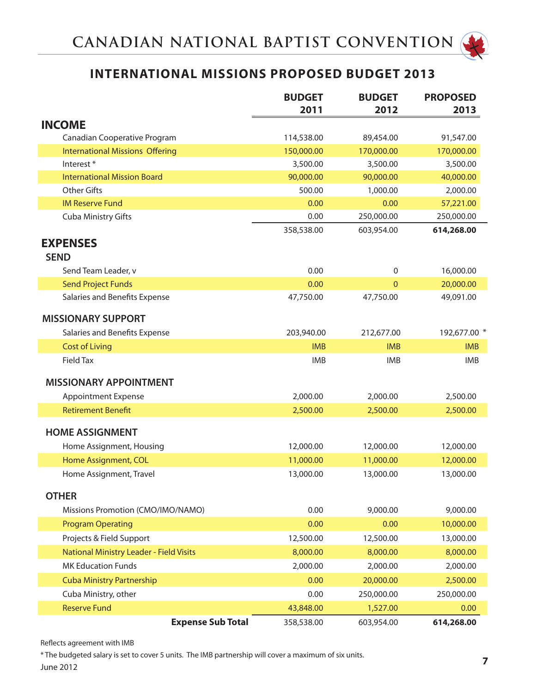# **INTERNATIONAL MISSIONS PROPOSED BUDGET 2013**

|                                         | <b>BUDGET</b><br>2011 | <b>BUDGET</b><br>2012 | <b>PROPOSED</b><br>2013 |
|-----------------------------------------|-----------------------|-----------------------|-------------------------|
| <b>INCOME</b>                           |                       |                       |                         |
| Canadian Cooperative Program            | 114,538.00            | 89,454.00             | 91,547.00               |
| <b>International Missions Offering</b>  | 150,000.00            | 170,000.00            | 170,000.00              |
| Interest <sup>*</sup>                   | 3,500.00              | 3,500.00              | 3,500.00                |
| <b>International Mission Board</b>      | 90,000.00             | 90,000.00             | 40,000.00               |
| <b>Other Gifts</b>                      | 500.00                | 1,000.00              | 2,000.00                |
| <b>IM Reserve Fund</b>                  | 0.00                  | 0.00                  | 57,221.00               |
| Cuba Ministry Gifts                     | 0.00                  | 250,000.00            | 250,000.00              |
|                                         | 358,538.00            | 603,954.00            | 614,268.00              |
| <b>EXPENSES</b>                         |                       |                       |                         |
| <b>SEND</b>                             |                       |                       |                         |
| Send Team Leader, v                     | 0.00                  | 0                     | 16,000.00               |
| <b>Send Project Funds</b>               | 0.00                  | $\overline{0}$        | 20,000.00               |
| Salaries and Benefits Expense           | 47,750.00             | 47,750.00             | 49,091.00               |
| <b>MISSIONARY SUPPORT</b>               |                       |                       |                         |
| Salaries and Benefits Expense           | 203,940.00            | 212,677.00            | 192,677.00 *            |
| <b>Cost of Living</b>                   | <b>IMB</b>            | <b>IMB</b>            | <b>IMB</b>              |
| <b>Field Tax</b>                        | <b>IMB</b>            | <b>IMB</b>            | <b>IMB</b>              |
| <b>MISSIONARY APPOINTMENT</b>           |                       |                       |                         |
| <b>Appointment Expense</b>              | 2,000.00              | 2,000.00              | 2,500.00                |
| <b>Retirement Benefit</b>               | 2,500.00              | 2,500.00              | 2,500.00                |
| <b>HOME ASSIGNMENT</b>                  |                       |                       |                         |
| Home Assignment, Housing                | 12,000.00             | 12,000.00             | 12,000.00               |
| Home Assignment, COL                    | 11,000.00             | 11,000.00             | 12,000.00               |
| Home Assignment, Travel                 | 13,000.00             | 13,000.00             | 13,000.00               |
| <b>OTHER</b>                            |                       |                       |                         |
| Missions Promotion (CMO/IMO/NAMO)       | 0.00                  | 9,000.00              | 9,000.00                |
| <b>Program Operating</b>                | 0.00                  | 0.00                  | 10,000.00               |
| Projects & Field Support                | 12,500.00             | 12,500.00             | 13,000.00               |
| National Ministry Leader - Field Visits | 8,000.00              | 8,000.00              | 8,000.00                |
| <b>MK Education Funds</b>               | 2,000.00              | 2,000.00              | 2,000.00                |
| <b>Cuba Ministry Partnership</b>        | 0.00                  | 20,000.00             | 2,500.00                |
| Cuba Ministry, other                    | 0.00                  | 250,000.00            | 250,000.00              |
| <b>Reserve Fund</b>                     | 43,848.00             | 1,527.00              | 0.00                    |
| <b>Expense Sub Total</b>                | 358,538.00            | 603,954.00            | 614,268.00              |

Reflects agreement with IMB

*Dare to Dream: 1,000 healthy, kingdom-focused churches by 2020* **7** \* The budgeted salary is set to cover 5 units. The IMB partnership will cover a maximum of six units.

June 2012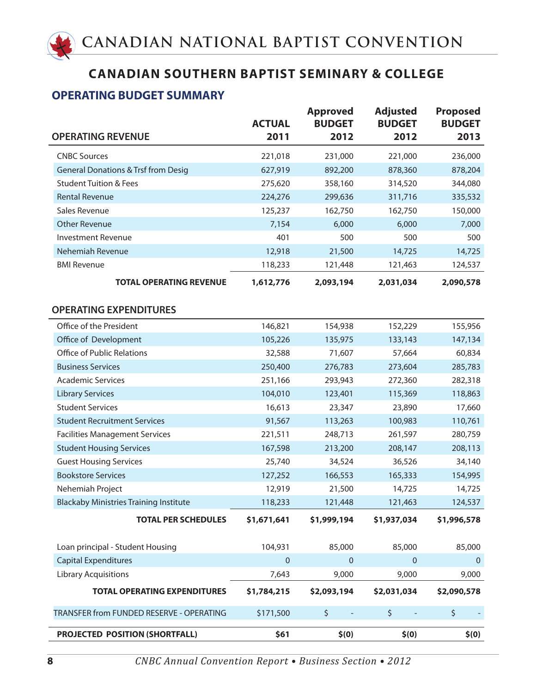## **OPERATING BUDGET SUMMARY**

| <b>OPERATING REVENUE</b>                       | <b>ACTUAL</b><br>2011 | <b>Approved</b><br><b>BUDGET</b><br>2012 | <b>Adjusted</b><br><b>BUDGET</b><br>2012 | <b>Proposed</b><br><b>BUDGET</b><br>2013 |
|------------------------------------------------|-----------------------|------------------------------------------|------------------------------------------|------------------------------------------|
| <b>CNBC Sources</b>                            | 221,018               | 231,000                                  | 221,000                                  | 236,000                                  |
| <b>General Donations &amp; Trsf from Desig</b> | 627,919               | 892,200                                  | 878,360                                  | 878,204                                  |
| <b>Student Tuition &amp; Fees</b>              | 275,620               | 358,160                                  | 314,520                                  | 344,080                                  |
| <b>Rental Revenue</b>                          | 224,276               | 299,636                                  | 311,716                                  | 335,532                                  |
| Sales Revenue                                  | 125,237               | 162,750                                  | 162,750                                  | 150,000                                  |
| <b>Other Revenue</b>                           | 7,154                 | 6,000                                    | 6,000                                    | 7,000                                    |
| <b>Investment Revenue</b>                      | 401                   | 500                                      | 500                                      | 500                                      |
| Nehemiah Revenue                               | 12,918                | 21,500                                   | 14,725                                   | 14,725                                   |
| <b>BMI Revenue</b>                             | 118,233               | 121,448                                  | 121,463                                  | 124,537                                  |
| <b>TOTAL OPERATING REVENUE</b>                 | 1,612,776             | 2,093,194                                | 2,031,034                                | 2,090,578                                |
|                                                |                       |                                          |                                          |                                          |
| <b>OPERATING EXPENDITURES</b>                  |                       |                                          |                                          |                                          |
| Office of the President                        | 146,821               | 154,938                                  | 152,229                                  | 155,956                                  |
| Office of Development                          | 105,226               | 135,975                                  | 133,143                                  | 147,134                                  |
| <b>Office of Public Relations</b>              | 32,588                | 71,607                                   | 57,664                                   | 60,834                                   |
| <b>Business Services</b>                       | 250,400               | 276,783                                  | 273,604                                  | 285,783                                  |
| <b>Academic Services</b>                       | 251,166               | 293,943                                  | 272,360                                  | 282,318                                  |
| <b>Library Services</b>                        | 104,010               | 123,401                                  | 115,369                                  | 118,863                                  |
| <b>Student Services</b>                        | 16,613                | 23,347                                   | 23,890                                   | 17,660                                   |
| <b>Student Recruitment Services</b>            | 91,567                | 113,263                                  | 100,983                                  | 110,761                                  |
| <b>Facilities Management Services</b>          | 221,511               | 248,713                                  | 261,597                                  | 280,759                                  |
| <b>Student Housing Services</b>                | 167,598               | 213,200                                  | 208,147                                  | 208,113                                  |
| <b>Guest Housing Services</b>                  | 25,740                | 34,524                                   | 36,526                                   | 34,140                                   |
| <b>Bookstore Services</b>                      | 127,252               | 166,553                                  | 165,333                                  | 154,995                                  |
| Nehemiah Project                               | 12,919                | 21,500                                   | 14,725                                   | 14,725                                   |
| <b>Blackaby Ministries Training Institute</b>  | 118,233               | 121,448                                  | 121,463                                  | 124,537                                  |
| <b>TOTAL PER SCHEDULES</b>                     | \$1,671,641           | \$1,999,194                              | \$1,937,034                              | \$1,996,578                              |
| Loan principal - Student Housing               | 104,931               | 85,000                                   | 85,000                                   | 85,000                                   |
| <b>Capital Expenditures</b>                    | $\pmb{0}$             | $\pmb{0}$                                | $\mathbf{0}$                             | $\overline{0}$                           |
| <b>Library Acquisitions</b>                    | 7,643                 | 9,000                                    | 9,000                                    | 9,000                                    |
| <b>TOTAL OPERATING EXPENDITURES</b>            | \$1,784,215           | \$2,093,194                              | \$2,031,034                              | \$2,090,578                              |
| TRANSFER from FUNDED RESERVE - OPERATING       | \$171,500             | \$                                       | \$                                       | \$                                       |
| PROJECTED POSITION (SHORTFALL)                 | \$61                  | \$(0)                                    | \$(0)                                    | \$(0)                                    |

**8** *CNBC Annual Convention Report • Business Section • 2012*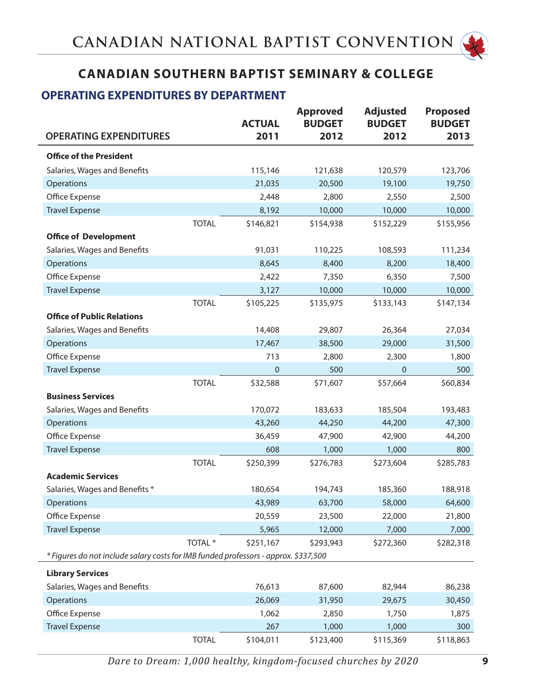

## **OPERATING EXPENDITURES BY DEPARTMENT**

|                                                                                     |                    | <b>ACTUAL</b> | <b>Approved</b><br><b>BUDGET</b> | <b>Adjusted</b><br><b>BUDGET</b> | <b>Proposed</b><br><b>BUDGET</b> |
|-------------------------------------------------------------------------------------|--------------------|---------------|----------------------------------|----------------------------------|----------------------------------|
| <b>OPERATING EXPENDITURES</b>                                                       |                    | 2011          | 2012                             | 2012                             | 2013                             |
| <b>Office of the President</b>                                                      |                    |               |                                  |                                  |                                  |
| Salaries, Wages and Benefits                                                        |                    | 115,146       | 121,638                          | 120,579                          | 123,706                          |
| Operations                                                                          |                    | 21,035        | 20,500                           | 19,100                           | 19,750                           |
| Office Expense                                                                      |                    | 2,448         | 2,800                            | 2,550                            | 2,500                            |
| <b>Travel Expense</b>                                                               |                    | 8,192         | 10,000                           | 10,000                           | 10,000                           |
|                                                                                     | <b>TOTAL</b>       | \$146,821     | \$154,938                        | \$152,229                        | \$155,956                        |
| <b>Office of Development</b>                                                        |                    |               |                                  |                                  |                                  |
| Salaries, Wages and Benefits                                                        |                    | 91,031        | 110,225                          | 108,593                          | 111,234                          |
| Operations                                                                          |                    | 8,645         | 8,400                            | 8,200                            | 18,400                           |
| Office Expense                                                                      |                    | 2,422         | 7,350                            | 6,350                            | 7,500                            |
| <b>Travel Expense</b>                                                               |                    | 3,127         | 10,000                           | 10,000                           | 10,000                           |
|                                                                                     | <b>TOTAL</b>       | \$105,225     | \$135,975                        | \$133,143                        | \$147,134                        |
| <b>Office of Public Relations</b>                                                   |                    |               |                                  |                                  |                                  |
| Salaries, Wages and Benefits                                                        |                    | 14,408        | 29,807                           | 26,364                           | 27,034                           |
| Operations                                                                          |                    | 17,467        | 38,500                           | 29,000                           | 31,500                           |
| Office Expense                                                                      |                    | 713           | 2,800                            | 2,300                            | 1,800                            |
| <b>Travel Expense</b>                                                               |                    | $\pmb{0}$     | 500                              | $\mathbf 0$                      | 500                              |
|                                                                                     | <b>TOTAL</b>       | \$32,588      | \$71,607                         | \$57,664                         | \$60,834                         |
| <b>Business Services</b>                                                            |                    |               |                                  |                                  |                                  |
| Salaries, Wages and Benefits                                                        |                    | 170,072       | 183,633                          | 185,504                          | 193,483                          |
| Operations                                                                          |                    | 43,260        | 44,250                           | 44,200                           | 47,300                           |
| Office Expense                                                                      |                    | 36,459        | 47,900                           | 42,900                           | 44,200                           |
| <b>Travel Expense</b>                                                               |                    | 608           | 1,000                            | 1,000                            | 800                              |
|                                                                                     | <b>TOTAL</b>       | \$250,399     | \$276,783                        | \$273,604                        | \$285,783                        |
| <b>Academic Services</b>                                                            |                    |               |                                  |                                  |                                  |
| Salaries, Wages and Benefits *                                                      |                    | 180,654       | 194,743                          | 185,360                          | 188,918                          |
| Operations                                                                          |                    | 43,989        | 63,700                           | 58,000                           | 64,600                           |
| Office Expense                                                                      |                    | 20,559        | 23,500                           | 22,000                           | 21,800                           |
| <b>Travel Expense</b>                                                               |                    | 5,965         | 12,000                           | 7,000                            | 7,000                            |
|                                                                                     | TOTAL <sup>*</sup> | \$251,167     | \$293,943                        | \$272,360                        | \$282,318                        |
| * Figures do not include salary costs for IMB funded professors - approx. \$337,500 |                    |               |                                  |                                  |                                  |
| <b>Library Services</b>                                                             |                    |               |                                  |                                  |                                  |
| Salaries, Wages and Benefits                                                        |                    | 76,613        | 87,600                           | 82,944                           | 86,238                           |
| Operations                                                                          |                    | 26,069        | 31,950                           | 29,675                           | 30,450                           |
| Office Expense                                                                      |                    | 1,062         | 2,850                            | 1,750                            | 1,875                            |
| <b>Travel Expense</b>                                                               |                    | 267           | 1,000                            | 1,000                            | 300                              |
|                                                                                     | <b>TOTAL</b>       | \$104,011     | \$123,400                        | \$115,369                        | \$118,863                        |

**Dare to Dream: 1,000 healthy, kingdom-focused churches by 2020 9**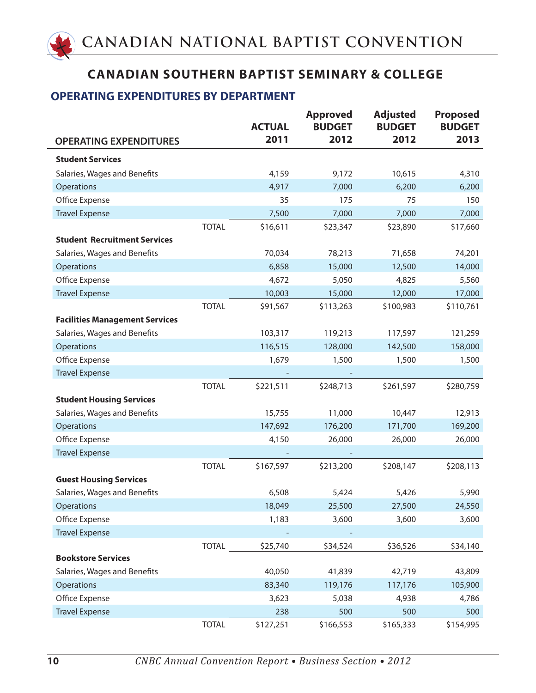### **OPERATING EXPENDITURES BY DEPARTMENT**

|                                       |              | <b>ACTUAL</b> | <b>Approved</b><br><b>BUDGET</b> | <b>Adjusted</b><br><b>BUDGET</b> | <b>Proposed</b><br><b>BUDGET</b> |
|---------------------------------------|--------------|---------------|----------------------------------|----------------------------------|----------------------------------|
| <b>OPERATING EXPENDITURES</b>         |              | 2011          | 2012                             | 2012                             | 2013                             |
| <b>Student Services</b>               |              |               |                                  |                                  |                                  |
| Salaries, Wages and Benefits          |              | 4,159         | 9,172                            | 10,615                           | 4,310                            |
| Operations                            |              | 4,917         | 7,000                            | 6,200                            | 6,200                            |
| Office Expense                        |              | 35            | 175                              | 75                               | 150                              |
| <b>Travel Expense</b>                 |              | 7,500         | 7,000                            | 7,000                            | 7,000                            |
|                                       | <b>TOTAL</b> | \$16,611      | \$23,347                         | \$23,890                         | \$17,660                         |
| <b>Student Recruitment Services</b>   |              |               |                                  |                                  |                                  |
| Salaries, Wages and Benefits          |              | 70,034        | 78,213                           | 71,658                           | 74,201                           |
| Operations                            |              | 6,858         | 15,000                           | 12,500                           | 14,000                           |
| Office Expense                        |              | 4,672         | 5,050                            | 4,825                            | 5,560                            |
| <b>Travel Expense</b>                 |              | 10,003        | 15,000                           | 12,000                           | 17,000                           |
|                                       | <b>TOTAL</b> | \$91,567      | \$113,263                        | \$100,983                        | \$110,761                        |
| <b>Facilities Management Services</b> |              |               |                                  |                                  |                                  |
| Salaries, Wages and Benefits          |              | 103,317       | 119,213                          | 117,597                          | 121,259                          |
| Operations                            |              | 116,515       | 128,000                          | 142,500                          | 158,000                          |
| Office Expense                        |              | 1,679         | 1,500                            | 1,500                            | 1,500                            |
| <b>Travel Expense</b>                 |              |               |                                  |                                  |                                  |
|                                       | <b>TOTAL</b> | \$221,511     | \$248,713                        | \$261,597                        | \$280,759                        |
| <b>Student Housing Services</b>       |              |               |                                  |                                  |                                  |
| Salaries, Wages and Benefits          |              | 15,755        | 11,000                           | 10,447                           | 12,913                           |
| Operations                            |              | 147,692       | 176,200                          | 171,700                          | 169,200                          |
| Office Expense                        |              | 4,150         | 26,000                           | 26,000                           | 26,000                           |
| <b>Travel Expense</b>                 |              |               |                                  |                                  |                                  |
|                                       | <b>TOTAL</b> | \$167,597     | \$213,200                        | \$208,147                        | \$208,113                        |
| <b>Guest Housing Services</b>         |              |               |                                  |                                  |                                  |
| Salaries, Wages and Benefits          |              | 6,508         | 5,424                            | 5,426                            | 5,990                            |
| Operations                            |              | 18,049        | 25,500                           | 27,500                           | 24,550                           |
| Office Expense                        |              | 1,183         | 3,600                            | 3,600                            | 3,600                            |
| <b>Travel Expense</b>                 |              |               |                                  |                                  |                                  |
|                                       | <b>TOTAL</b> | \$25,740      | \$34,524                         | \$36,526                         | \$34,140                         |
| <b>Bookstore Services</b>             |              |               |                                  |                                  |                                  |
| Salaries, Wages and Benefits          |              | 40,050        | 41,839                           | 42,719                           | 43,809                           |
| Operations                            |              | 83,340        | 119,176                          | 117,176                          | 105,900                          |
| Office Expense                        |              | 3,623         | 5,038                            | 4,938                            | 4,786                            |
| <b>Travel Expense</b>                 |              | 238           | 500                              | 500                              | 500                              |
|                                       | <b>TOTAL</b> | \$127,251     | \$166,553                        | \$165,333                        | \$154,995                        |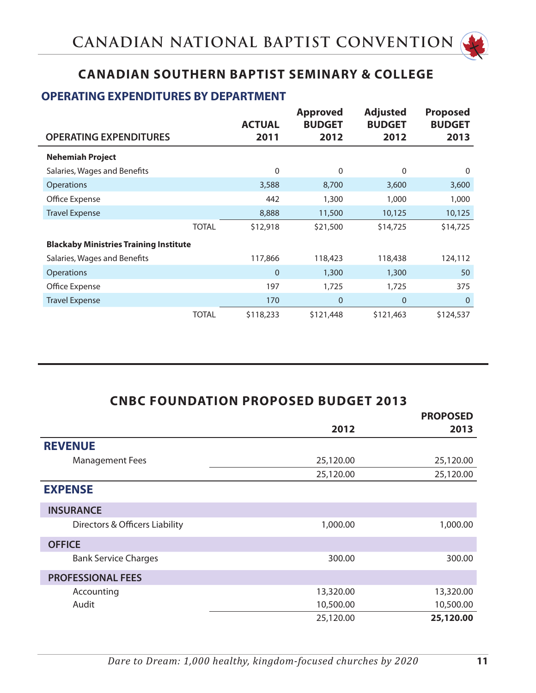

### **OPERATING EXPENDITURES BY DEPARTMENT**

|                                               |              | <b>ACTUAL</b>  | <b>Approved</b><br><b>BUDGET</b> | <b>Adjusted</b><br><b>BUDGET</b> | <b>Proposed</b><br><b>BUDGET</b> |
|-----------------------------------------------|--------------|----------------|----------------------------------|----------------------------------|----------------------------------|
| <b>OPERATING EXPENDITURES</b>                 |              | 2011           | 2012                             | 2012                             | 2013                             |
| <b>Nehemiah Project</b>                       |              |                |                                  |                                  |                                  |
| Salaries, Wages and Benefits                  |              | $\mathbf 0$    | $\mathbf{0}$                     | 0                                | 0                                |
| <b>Operations</b>                             |              | 3,588          | 8,700                            | 3,600                            | 3,600                            |
| Office Expense                                |              | 442            | 1,300                            | 1,000                            | 1,000                            |
| <b>Travel Expense</b>                         |              | 8,888          | 11,500                           | 10,125                           | 10,125                           |
|                                               | <b>TOTAL</b> | \$12,918       | \$21,500                         | \$14,725                         | \$14,725                         |
| <b>Blackaby Ministries Training Institute</b> |              |                |                                  |                                  |                                  |
| Salaries, Wages and Benefits                  |              | 117,866        | 118,423                          | 118,438                          | 124,112                          |
| <b>Operations</b>                             |              | $\overline{0}$ | 1,300                            | 1,300                            | 50                               |
| Office Expense                                |              | 197            | 1,725                            | 1,725                            | 375                              |
| <b>Travel Expense</b>                         |              | 170            | $\mathbf 0$                      | $\overline{0}$                   | $\mathbf 0$                      |
|                                               | <b>TOTAL</b> | \$118,233      | \$121,448                        | \$121,463                        | \$124,537                        |

| <b>CNBC FOUNDATION PROPOSED BUDGET 2013</b> |           |                 |
|---------------------------------------------|-----------|-----------------|
|                                             |           | <b>PROPOSED</b> |
|                                             | 2012      | 2013            |
| <b>REVENUE</b>                              |           |                 |
| <b>Management Fees</b>                      | 25,120.00 | 25,120.00       |
|                                             | 25,120.00 | 25,120.00       |
| <b>EXPENSE</b>                              |           |                 |
| <b>INSURANCE</b>                            |           |                 |
| Directors & Officers Liability              | 1,000.00  | 1,000.00        |
| <b>OFFICE</b>                               |           |                 |
| <b>Bank Service Charges</b>                 | 300.00    | 300.00          |
| <b>PROFESSIONAL FEES</b>                    |           |                 |
| Accounting                                  | 13,320.00 | 13,320.00       |
| Audit                                       | 10,500.00 | 10,500.00       |
|                                             | 25,120.00 | 25,120.00       |